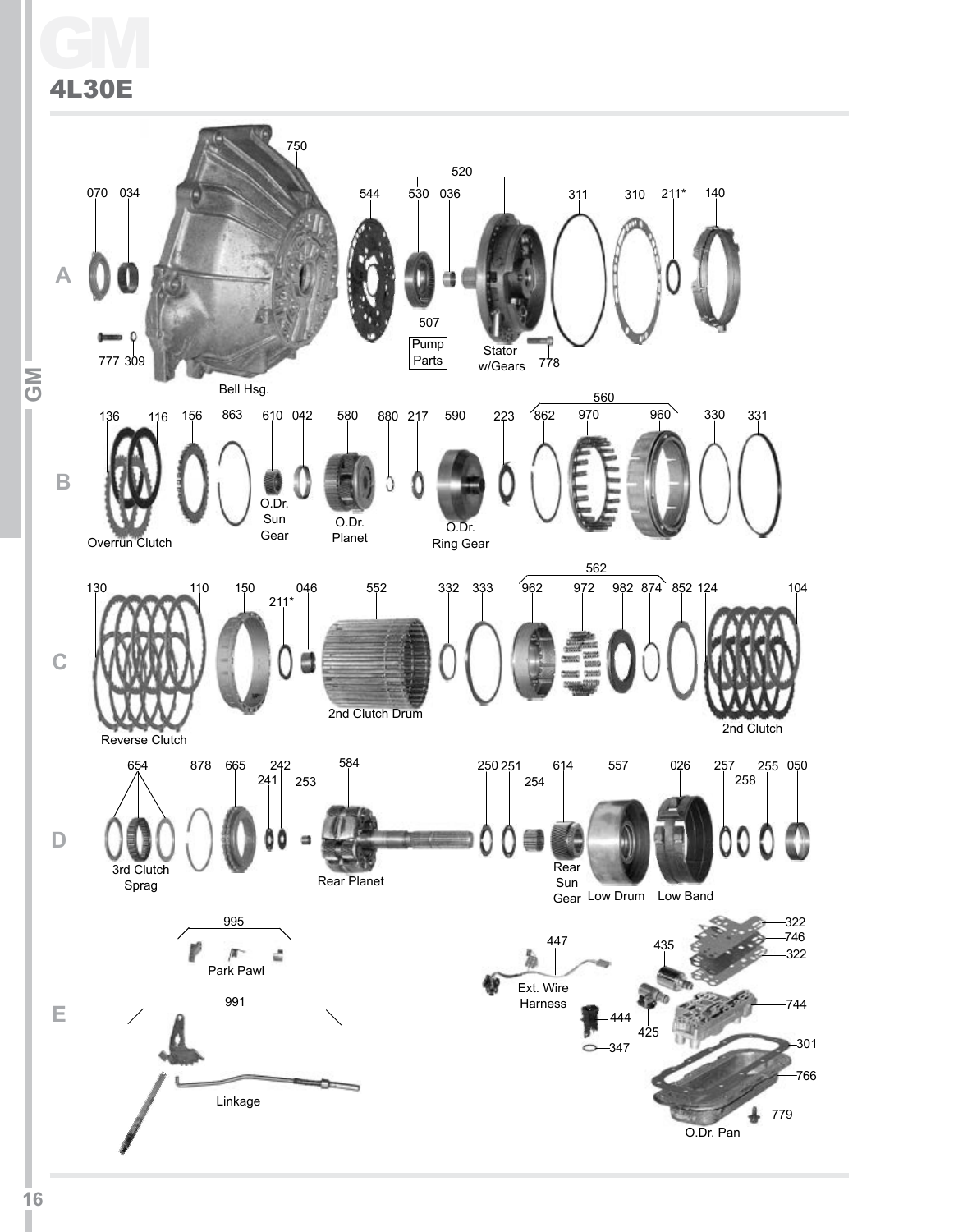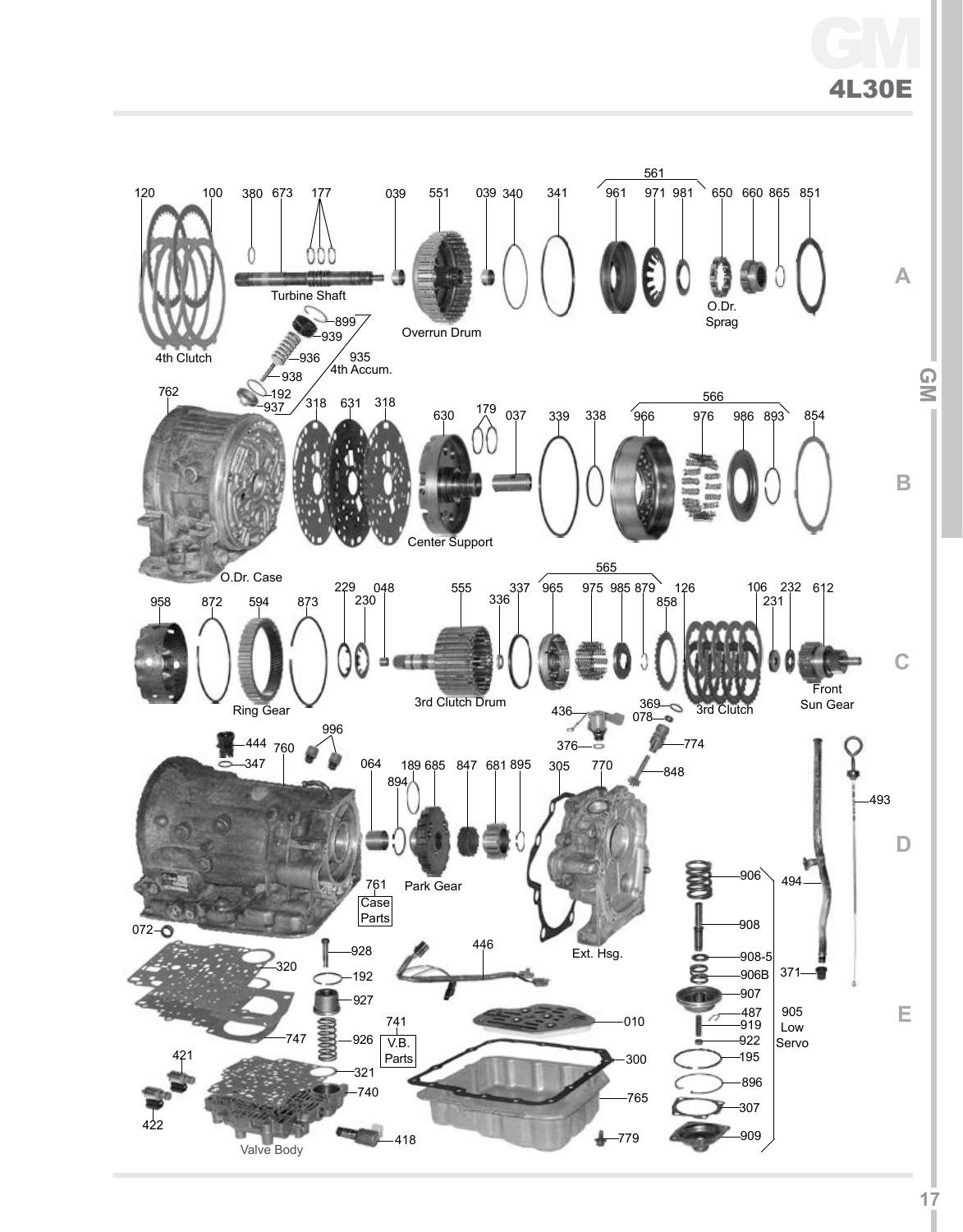# GM 4L30E

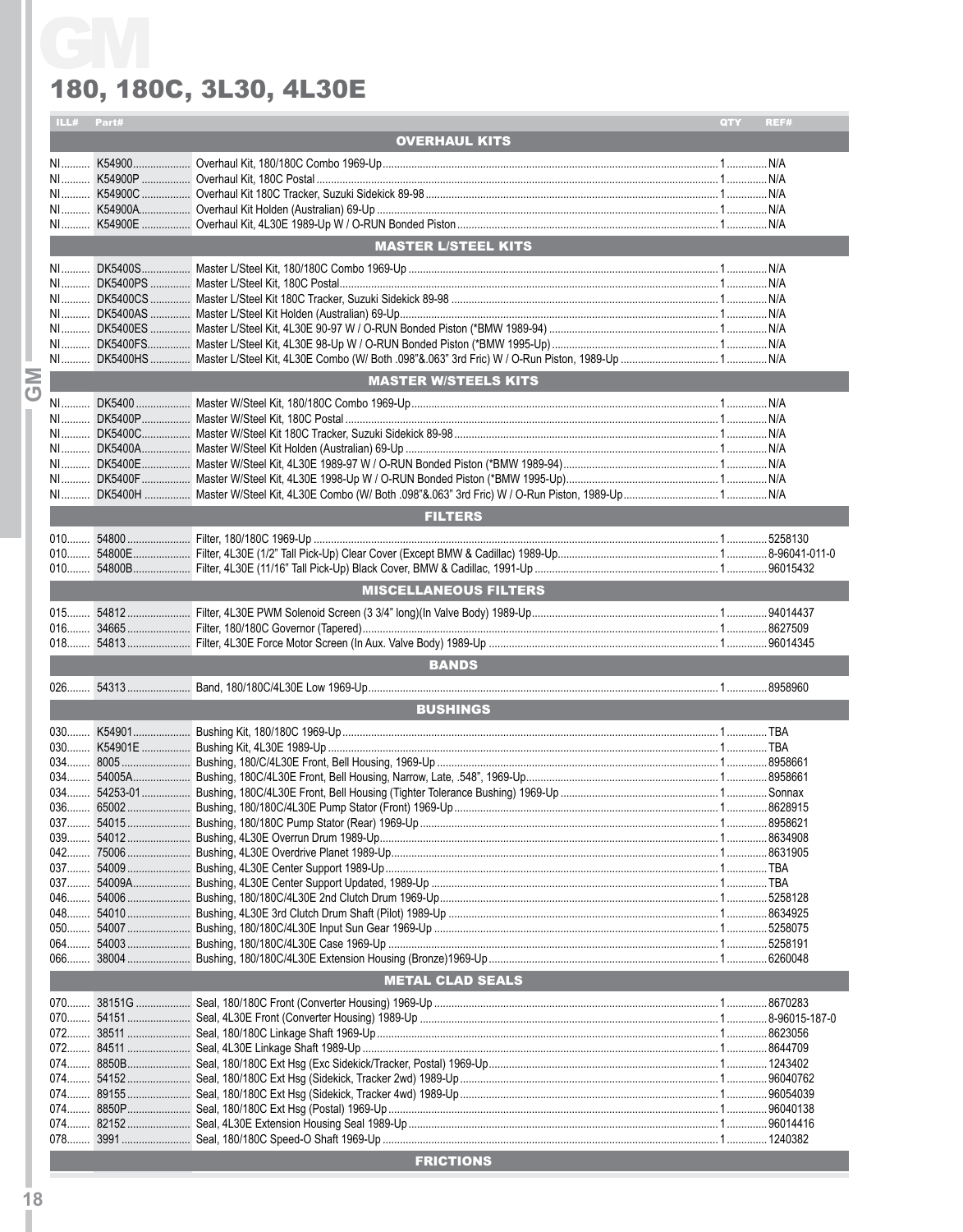|         | ILL# Part# |                              | QTY<br>REF# |
|---------|------------|------------------------------|-------------|
|         |            | <b>OVERHAUL KITS</b>         |             |
|         |            |                              |             |
|         |            |                              |             |
|         |            |                              |             |
|         |            |                              |             |
|         |            |                              |             |
|         |            | <b>MASTER L/STEEL KITS</b>   |             |
|         |            |                              |             |
|         |            |                              |             |
|         |            |                              |             |
|         |            |                              |             |
|         |            |                              |             |
|         |            |                              |             |
|         |            |                              |             |
| Σ       |            | <b>MASTER W/STEELS KITS</b>  |             |
| $\circ$ |            |                              |             |
|         |            |                              |             |
|         |            |                              |             |
|         |            |                              |             |
|         |            |                              |             |
|         |            |                              |             |
|         |            |                              |             |
|         |            | <b>FILTERS</b>               |             |
|         |            |                              |             |
|         |            |                              |             |
|         |            |                              |             |
|         |            |                              |             |
|         |            | <b>MISCELLANEOUS FILTERS</b> |             |
|         |            |                              |             |
|         |            |                              |             |
|         |            |                              |             |
|         |            |                              |             |
|         |            | <b>BANDS</b>                 |             |
|         |            |                              |             |
|         |            |                              |             |
|         |            | <b>BUSHINGS</b>              |             |
|         |            |                              |             |
|         |            |                              |             |
|         |            |                              |             |
|         |            |                              |             |
|         |            |                              |             |
|         |            |                              |             |
|         |            |                              |             |
|         |            |                              |             |
|         | 037        |                              |             |
|         |            |                              |             |
|         |            |                              |             |
|         |            |                              |             |
|         | $050$      |                              |             |
|         | $064$      |                              |             |
|         |            |                              |             |
|         |            | <b>METAL CLAD SEALS</b>      |             |
|         |            |                              |             |
|         |            |                              |             |
|         |            |                              |             |
|         |            |                              |             |
|         |            |                              |             |
|         |            |                              |             |
|         |            |                              |             |
|         |            |                              |             |
|         |            | <b>ERICTIONS</b>             |             |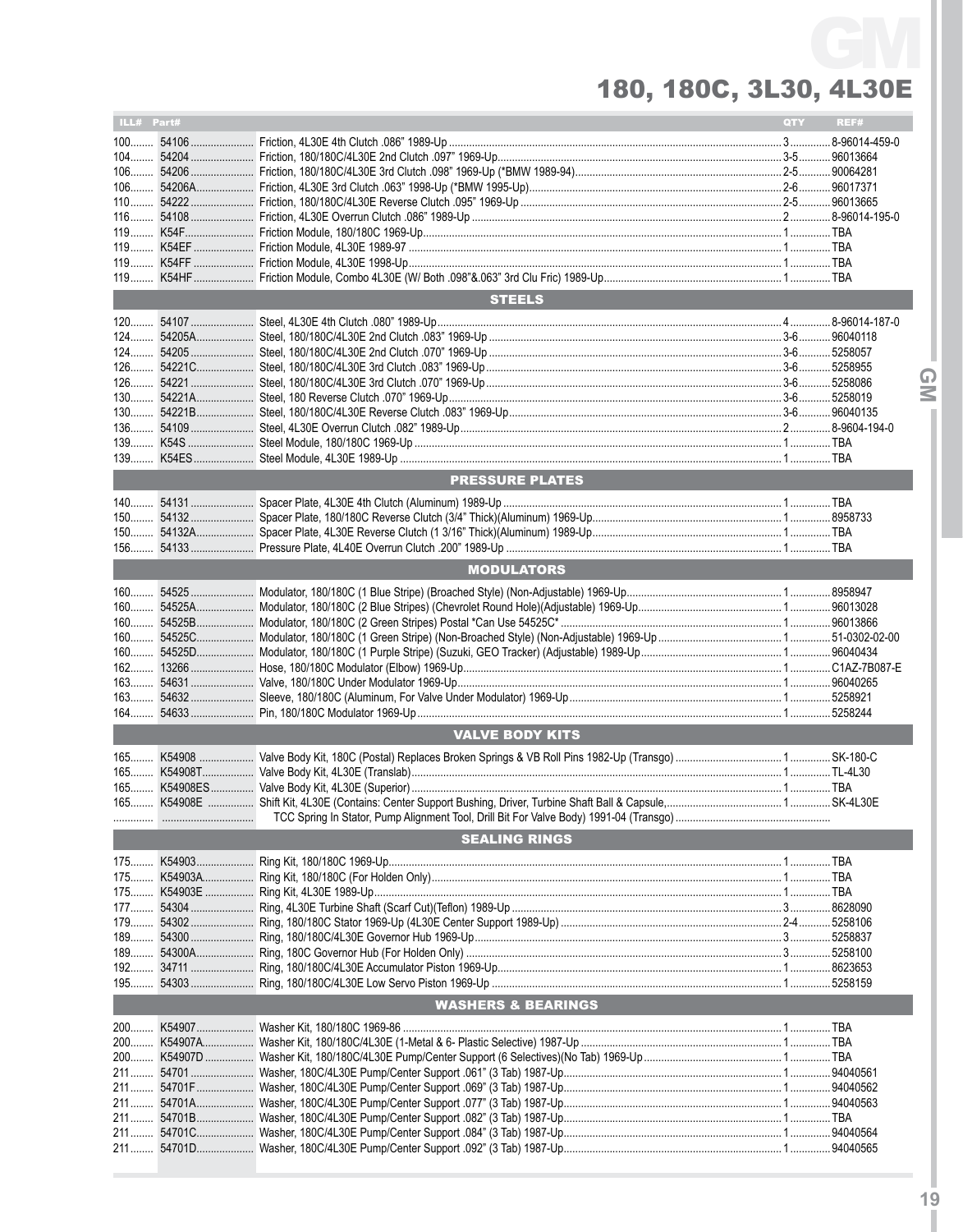| ILL# Part# |                               | QTY | REF# |        |
|------------|-------------------------------|-----|------|--------|
|            |                               |     |      |        |
|            |                               |     |      |        |
|            |                               |     |      |        |
|            |                               |     |      |        |
|            |                               |     |      |        |
|            |                               |     |      |        |
|            |                               |     |      |        |
|            |                               |     |      |        |
|            |                               |     |      |        |
|            |                               |     |      |        |
|            | <b>STEELS</b>                 |     |      |        |
|            |                               |     |      |        |
|            |                               |     |      |        |
|            |                               |     |      |        |
|            |                               |     |      |        |
|            |                               |     |      | ⋒      |
|            |                               |     |      | $\leq$ |
|            |                               |     |      |        |
|            |                               |     |      |        |
|            |                               |     |      |        |
|            |                               |     |      |        |
|            |                               |     |      |        |
|            | <b>PRESSURE PLATES</b>        |     |      |        |
|            |                               |     |      |        |
|            |                               |     |      |        |
|            |                               |     |      |        |
|            |                               |     |      |        |
|            | <b>MODULATORS</b>             |     |      |        |
|            |                               |     |      |        |
|            |                               |     |      |        |
|            |                               |     |      |        |
|            |                               |     |      |        |
|            |                               |     |      |        |
|            |                               |     |      |        |
|            |                               |     |      |        |
|            |                               |     |      |        |
|            |                               |     |      |        |
|            | <b>VALVE BODY KITS</b>        |     |      |        |
|            |                               |     |      |        |
|            |                               |     |      |        |
|            |                               |     |      |        |
|            |                               |     |      |        |
|            |                               |     |      |        |
|            | <b>SEALING RINGS</b>          |     |      |        |
|            |                               |     |      |        |
|            |                               |     |      |        |
|            |                               |     |      |        |
|            |                               |     |      |        |
|            |                               |     |      |        |
|            |                               |     |      |        |
|            |                               |     |      |        |
|            |                               |     |      |        |
|            |                               |     |      |        |
|            |                               |     |      |        |
|            | <b>WASHERS &amp; BEARINGS</b> |     |      |        |
|            |                               |     |      |        |
|            |                               |     |      |        |
|            |                               |     |      |        |
|            |                               |     |      |        |
|            |                               |     |      |        |
|            |                               |     |      |        |
|            |                               |     |      |        |
|            |                               |     |      |        |
|            |                               |     |      |        |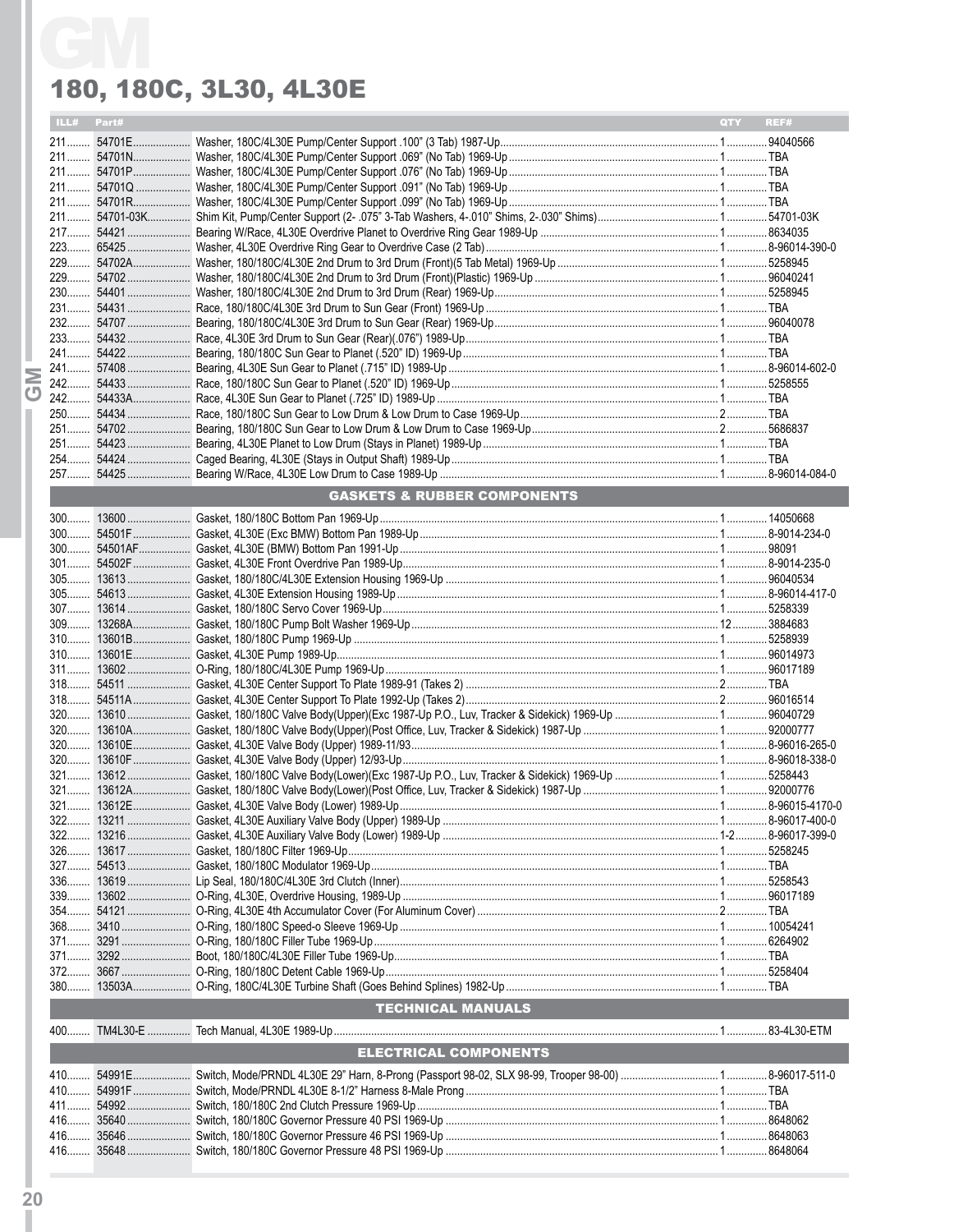|  | ILL# Part# |                                        | QTY REF# |  |
|--|------------|----------------------------------------|----------|--|
|  |            |                                        |          |  |
|  |            |                                        |          |  |
|  |            |                                        |          |  |
|  |            |                                        |          |  |
|  |            |                                        |          |  |
|  |            |                                        |          |  |
|  |            |                                        |          |  |
|  |            |                                        |          |  |
|  |            |                                        |          |  |
|  |            |                                        |          |  |
|  |            |                                        |          |  |
|  |            |                                        |          |  |
|  |            |                                        |          |  |
|  |            |                                        |          |  |
|  |            |                                        |          |  |
|  |            |                                        |          |  |
|  |            |                                        |          |  |
|  |            |                                        |          |  |
|  |            |                                        |          |  |
|  |            |                                        |          |  |
|  |            |                                        |          |  |
|  |            |                                        |          |  |
|  |            | <b>GASKETS &amp; RUBBER COMPONENTS</b> |          |  |
|  |            |                                        |          |  |
|  |            |                                        |          |  |
|  |            |                                        |          |  |
|  |            |                                        |          |  |
|  |            |                                        |          |  |
|  |            |                                        |          |  |
|  |            |                                        |          |  |
|  |            |                                        |          |  |
|  |            |                                        |          |  |
|  |            |                                        |          |  |
|  |            |                                        |          |  |
|  |            |                                        |          |  |
|  |            |                                        |          |  |
|  |            |                                        |          |  |
|  |            |                                        |          |  |
|  |            |                                        |          |  |
|  |            |                                        |          |  |
|  |            |                                        |          |  |
|  |            |                                        |          |  |
|  |            |                                        |          |  |
|  | $326$      |                                        |          |  |
|  |            |                                        |          |  |
|  |            |                                        |          |  |
|  |            |                                        |          |  |
|  |            |                                        |          |  |
|  |            |                                        |          |  |
|  |            |                                        |          |  |
|  |            |                                        |          |  |
|  |            |                                        |          |  |
|  |            |                                        |          |  |
|  |            | <b>TECHNICAL MANUALS</b>               |          |  |
|  |            |                                        |          |  |
|  |            | <b>ELECTRICAL COMPONENTS</b>           |          |  |
|  |            |                                        |          |  |
|  |            |                                        |          |  |
|  |            |                                        |          |  |
|  |            |                                        |          |  |
|  |            |                                        |          |  |
|  |            |                                        |          |  |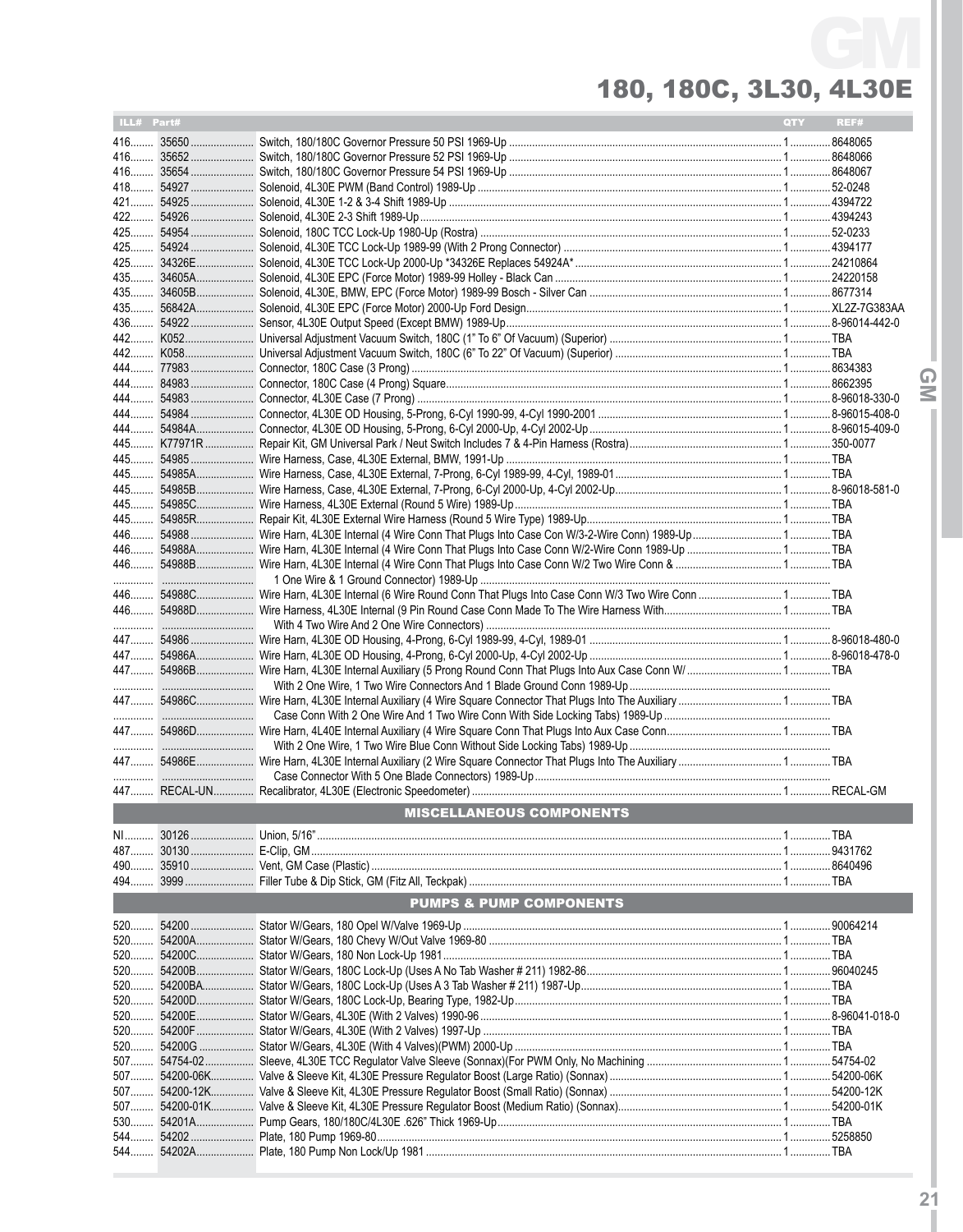| ILL# Part# |                                                                                                          | <b>QTY</b> | REF# |
|------------|----------------------------------------------------------------------------------------------------------|------------|------|
|            |                                                                                                          |            |      |
|            |                                                                                                          |            |      |
|            |                                                                                                          |            |      |
|            |                                                                                                          |            |      |
|            |                                                                                                          |            |      |
|            |                                                                                                          |            |      |
|            |                                                                                                          |            |      |
| $425$      |                                                                                                          |            |      |
| 425………     |                                                                                                          |            |      |
|            |                                                                                                          |            |      |
|            |                                                                                                          |            |      |
| 436        |                                                                                                          |            |      |
| 442        |                                                                                                          |            |      |
|            |                                                                                                          |            |      |
|            |                                                                                                          |            |      |
|            |                                                                                                          |            |      |
|            |                                                                                                          |            |      |
|            |                                                                                                          |            |      |
|            |                                                                                                          |            |      |
|            |                                                                                                          |            |      |
|            |                                                                                                          |            |      |
| 445        |                                                                                                          |            |      |
|            |                                                                                                          |            |      |
|            |                                                                                                          |            |      |
|            |                                                                                                          |            |      |
|            |                                                                                                          |            |      |
| 446        |                                                                                                          |            |      |
|            |                                                                                                          |            |      |
|            | 446 54988C Wire Harn, 4L30E Internal (6 Wire Round Conn That Plugs Into Case Conn W/3 Two Wire Conn  TBA |            |      |
|            |                                                                                                          |            |      |
|            |                                                                                                          |            |      |
|            |                                                                                                          |            |      |
|            |                                                                                                          |            |      |
|            |                                                                                                          |            |      |
|            |                                                                                                          |            |      |
|            |                                                                                                          |            |      |
|            |                                                                                                          |            |      |
|            |                                                                                                          |            |      |
|            |                                                                                                          |            |      |
|            |                                                                                                          |            |      |
|            |                                                                                                          |            |      |
|            | <b>MISCELLANEOUS COMPONENTS</b>                                                                          |            |      |
|            |                                                                                                          |            |      |
|            |                                                                                                          |            |      |
|            |                                                                                                          |            |      |
|            |                                                                                                          |            |      |
|            | <b>PUMPS &amp; PUMP COMPONENTS</b>                                                                       |            |      |
|            |                                                                                                          |            |      |
|            |                                                                                                          |            |      |
|            |                                                                                                          |            |      |
|            |                                                                                                          |            |      |
| 520<br>520 |                                                                                                          |            |      |
|            |                                                                                                          |            |      |
|            |                                                                                                          |            |      |
| 520        |                                                                                                          |            |      |
| 520        |                                                                                                          |            |      |
| 507        |                                                                                                          |            |      |
|            |                                                                                                          |            |      |
|            |                                                                                                          |            |      |
| $507$      |                                                                                                          |            |      |
| 530        |                                                                                                          |            |      |
| 544        |                                                                                                          |            |      |
| 544        |                                                                                                          |            |      |

**21**

**IGMI**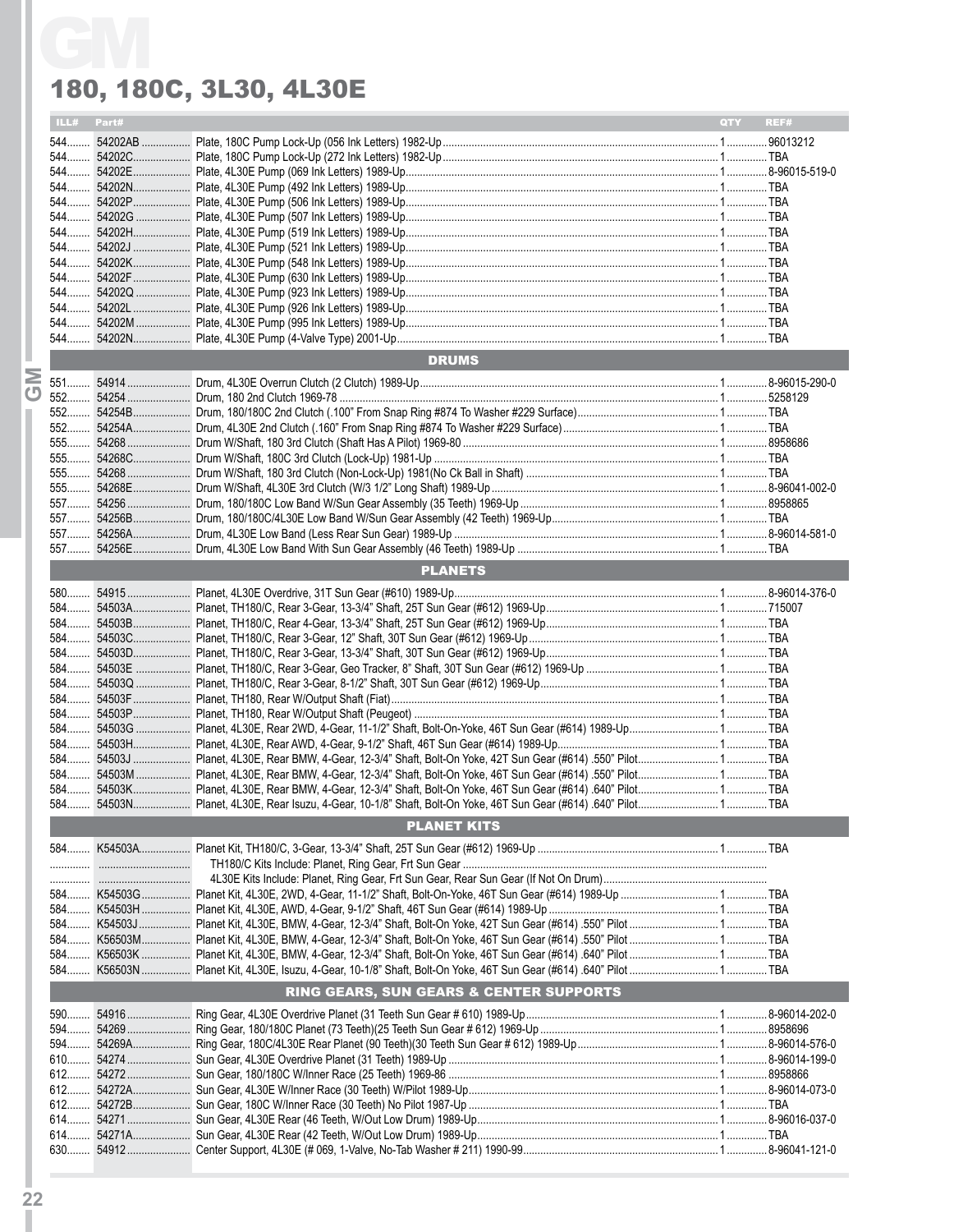|            | 180, 180C, 3L30, 4L30E                  |            |      |
|------------|-----------------------------------------|------------|------|
| ILL# Part# |                                         | <b>OTY</b> | REF# |
|            |                                         |            |      |
|            |                                         |            |      |
|            |                                         |            |      |
|            |                                         |            |      |
|            |                                         |            |      |
|            |                                         |            |      |
|            |                                         |            |      |
|            |                                         |            |      |
|            |                                         |            |      |
|            |                                         |            |      |
|            |                                         |            |      |
|            |                                         |            |      |
|            | <b>DRUMS</b>                            |            |      |
|            |                                         |            |      |
|            |                                         |            |      |
|            |                                         |            |      |
|            |                                         |            |      |
|            |                                         |            |      |
|            |                                         |            |      |
|            |                                         |            |      |
|            |                                         |            |      |
|            |                                         |            |      |
|            |                                         |            |      |
|            |                                         |            |      |
|            | <b>PLANETS</b>                          |            |      |
|            |                                         |            |      |
|            |                                         |            |      |
|            |                                         |            |      |
|            |                                         |            |      |
|            |                                         |            |      |
|            |                                         |            |      |
|            |                                         |            |      |
|            |                                         |            |      |
|            |                                         |            |      |
|            |                                         |            |      |
|            |                                         |            |      |
|            |                                         |            |      |
|            |                                         |            |      |
|            | <b>PLANET KITS</b>                      |            |      |
|            |                                         |            |      |
|            |                                         |            |      |
|            |                                         |            |      |
|            |                                         |            |      |
|            |                                         |            |      |
|            |                                         |            |      |
|            |                                         |            |      |
|            | RING GEARS, SUN GEARS & CENTER SUPPORTS |            |      |
|            |                                         |            |      |
|            |                                         |            |      |
|            |                                         |            |      |
|            |                                         |            |      |
|            |                                         |            |      |
|            |                                         |            |      |
|            |                                         |            |      |
|            |                                         |            |      |
|            |                                         |            |      |
|            |                                         |            |      |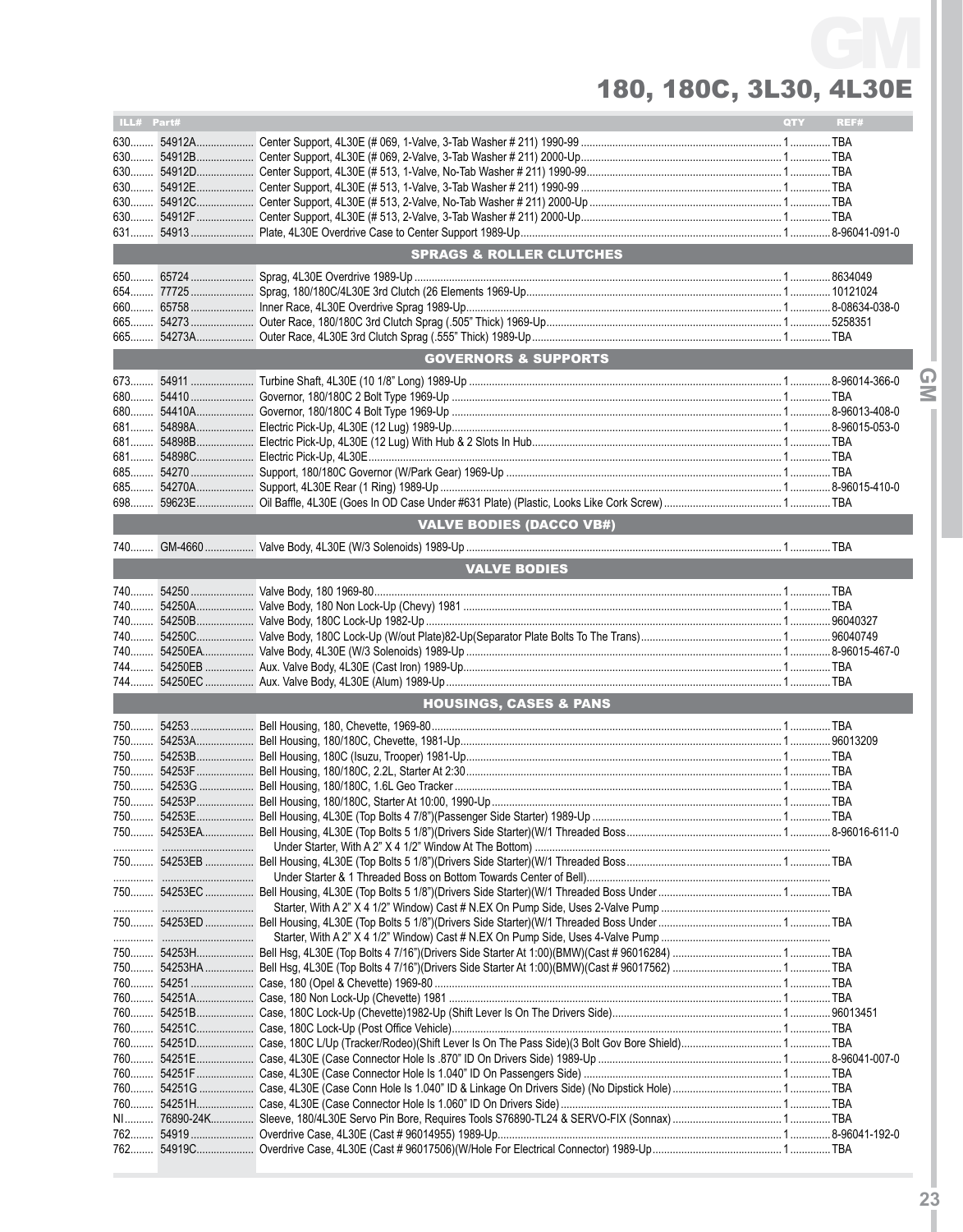| ILL# Part# |                                     | QTY | REF# |
|------------|-------------------------------------|-----|------|
|            |                                     |     |      |
|            |                                     |     |      |
|            |                                     |     |      |
|            |                                     |     |      |
|            |                                     |     |      |
|            |                                     |     |      |
|            |                                     |     |      |
|            | <b>SPRAGS &amp; ROLLER CLUTCHES</b> |     |      |
|            |                                     |     |      |
|            |                                     |     |      |
|            |                                     |     |      |
|            |                                     |     |      |
|            |                                     |     |      |
|            | <b>GOVERNORS &amp; SUPPORTS</b>     |     |      |
|            |                                     |     |      |
|            |                                     |     |      |
|            |                                     |     |      |
|            |                                     |     |      |
|            |                                     |     |      |
|            |                                     |     |      |
|            |                                     |     |      |
|            |                                     |     |      |
|            |                                     |     |      |
|            | VALVE BODIES (DACCO VB#)            |     |      |
|            |                                     |     |      |
|            |                                     |     |      |
|            | <b>VALVE BODIES</b>                 |     |      |
|            |                                     |     |      |
|            |                                     |     |      |
|            |                                     |     |      |
|            |                                     |     |      |
|            |                                     |     |      |
|            |                                     |     |      |
|            |                                     |     |      |
|            | <b>HOUSINGS, CASES &amp; PANS</b>   |     |      |
|            |                                     |     |      |
|            |                                     |     |      |
|            |                                     |     |      |
|            |                                     |     |      |
|            |                                     |     |      |
|            |                                     |     |      |
|            |                                     |     |      |
|            |                                     |     |      |
|            |                                     |     |      |
|            |                                     |     |      |
|            |                                     |     |      |
|            |                                     |     |      |
|            |                                     |     |      |
|            |                                     |     |      |
|            |                                     |     |      |
|            |                                     |     |      |
|            |                                     |     |      |
|            |                                     |     |      |
|            |                                     |     |      |
|            |                                     |     |      |
|            |                                     |     |      |
|            |                                     |     |      |
|            |                                     |     |      |
|            |                                     |     |      |
|            |                                     |     |      |
|            |                                     |     |      |
| 762        |                                     |     |      |
|            |                                     |     |      |

**23**

**IGMI**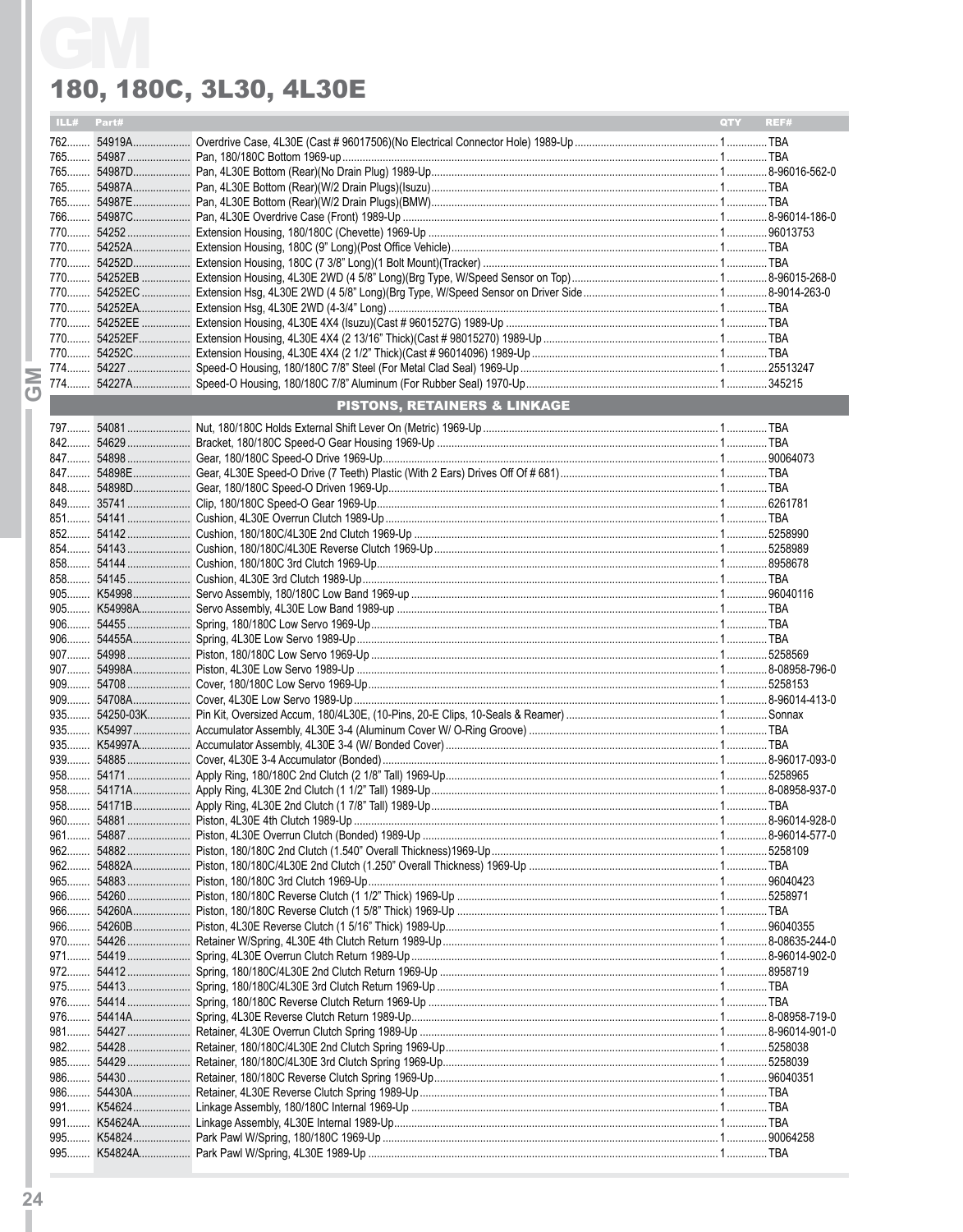| ILL# Part#     |                                         | QTY REF# |  |
|----------------|-----------------------------------------|----------|--|
|                |                                         |          |  |
|                |                                         |          |  |
|                |                                         |          |  |
|                |                                         |          |  |
|                |                                         |          |  |
|                |                                         |          |  |
|                |                                         |          |  |
|                |                                         |          |  |
|                |                                         |          |  |
|                |                                         |          |  |
|                |                                         |          |  |
|                |                                         |          |  |
|                |                                         |          |  |
|                |                                         |          |  |
|                |                                         |          |  |
|                |                                         |          |  |
|                | <b>PISTONS, RETAINERS &amp; LINKAGE</b> |          |  |
|                |                                         |          |  |
|                |                                         |          |  |
|                |                                         |          |  |
|                |                                         |          |  |
|                |                                         |          |  |
|                |                                         |          |  |
|                |                                         |          |  |
|                |                                         |          |  |
|                |                                         |          |  |
|                |                                         |          |  |
|                |                                         |          |  |
|                |                                         |          |  |
|                |                                         |          |  |
|                |                                         |          |  |
|                |                                         |          |  |
|                |                                         |          |  |
|                |                                         |          |  |
|                |                                         |          |  |
|                |                                         |          |  |
|                |                                         |          |  |
|                |                                         |          |  |
|                |                                         |          |  |
|                |                                         |          |  |
|                |                                         |          |  |
| 960            |                                         |          |  |
|                |                                         |          |  |
| $962$          |                                         |          |  |
|                |                                         |          |  |
| $965$<br>$966$ |                                         |          |  |
| $966$          |                                         |          |  |
| $966$          |                                         |          |  |
|                |                                         |          |  |
| $971$          |                                         |          |  |
|                |                                         |          |  |
|                |                                         |          |  |
|                |                                         |          |  |
|                |                                         |          |  |
| $981$          |                                         |          |  |
| $982$          |                                         |          |  |
| 985<br>986     |                                         |          |  |
| 986            |                                         |          |  |
| $991$          |                                         |          |  |
|                |                                         |          |  |
| 995            |                                         |          |  |
|                |                                         |          |  |